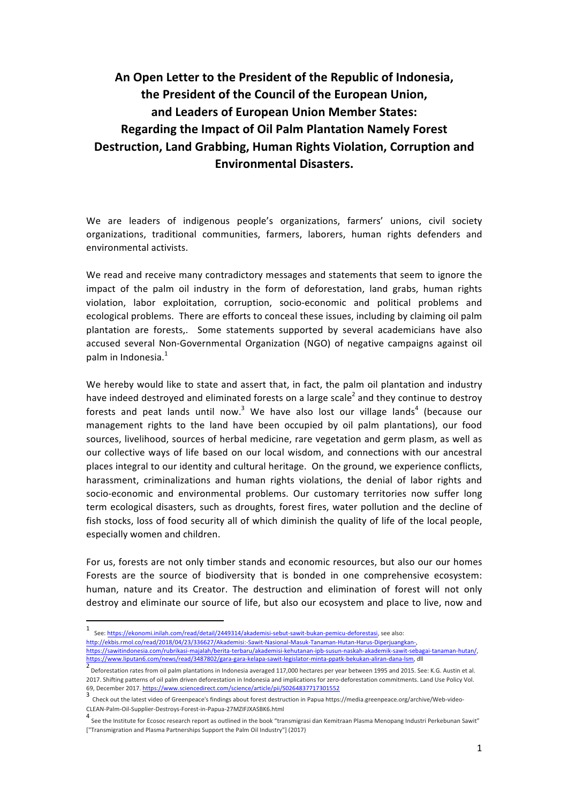## An Open Letter to the President of the Republic of Indonesia, the President of the Council of the European Union, and Leaders of European Union Member States: **Regarding the Impact of Oil Palm Plantation Namely Forest Destruction, Land Grabbing, Human Rights Violation, Corruption and Environmental Disasters.**

We are leaders of indigenous people's organizations, farmers' unions, civil society organizations, traditional communities, farmers, laborers, human rights defenders and environmental activists.

We read and receive many contradictory messages and statements that seem to ignore the impact of the palm oil industry in the form of deforestation, land grabs, human rights violation, labor exploitation, corruption, socio-economic and political problems and ecological problems. There are efforts to conceal these issues, including by claiming oil palm plantation are forests,. Some statements supported by several academicians have also accused several Non-Governmental Organization (NGO) of negative campaigns against oil palm in Indonesia. $<sup>1</sup>$ </sup>

We hereby would like to state and assert that, in fact, the palm oil plantation and industry have indeed destroyed and eliminated forests on a large scale<sup>2</sup> and they continue to destroy forests and peat lands until now.<sup>3</sup> We have also lost our village lands<sup>4</sup> (because our management rights to the land have been occupied by oil palm plantations), our food sources, livelihood, sources of herbal medicine, rare vegetation and germ plasm, as well as our collective ways of life based on our local wisdom, and connections with our ancestral places integral to our identity and cultural heritage. On the ground, we experience conflicts, harassment, criminalizations and human rights violations, the denial of labor rights and socio-economic and environmental problems. Our customary territories now suffer long term ecological disasters, such as droughts, forest fires, water pollution and the decline of fish stocks, loss of food security all of which diminish the quality of life of the local people, especially women and children.

For us, forests are not only timber stands and economic resources, but also our our homes Forests are the source of biodiversity that is bonded in one comprehensive ecosystem: human, nature and its Creator. The destruction and elimination of forest will not only destroy and eliminate our source of life, but also our ecosystem and place to live, now and

 

<sup>1</sup> See: https://ekonomi.inilah.com/read/detail/2449314/akademisi-sebut-sawit-bukan-pemicu-deforestasi, see also:

http://ekbis.rmol.co/read/2018/04/23/336627/Akademisi:-Sawit-Nasional-Masuk-Tanaman-Hutan-Harus-Diperjuangkan-, https://sawitindonesia.com/rubrikasi-majalah/berita-terbaru/akademisi-kehutanan-ipb-susun-naskah-akademik-sawit-sebagai-tanaman-hutan/, https://www.liputan6.com/news/read/3487802/gara-gara-kelapa-sawit-legislator-minta-ppatk-bekukan-aliran-dana-lsm, dll

<sup>2&</sup>lt;br>Deforestation rates from oil palm plantations in Indonesia averaged 117,000 hectares per year between 1995 and 2015. See: K.G. Austin et al. 2017. Shifting patterns of oil palm driven deforestation in Indonesia and implications for zero-deforestation commitments. Land Use Policy Vol. 69, December 2017. https://www.sciencedirect.com/science/article/pii/S0264837717301552

<sup>3</sup> Check out the latest video of Greenpeace's findings about forest destruction in Papua https://media.greenpeace.org/archive/Web-video-CLEAN-Palm-Oil-Supplier-Destroys-Forest-in-Papua-27MZIFJXASBK6.html

<sup>4</sup> See the Institute for Ecosoc research report as outlined in the book "transmigrasi dan Kemitraan Plasma Menopang Industri Perkebunan Sawit" ["Transmigration and Plasma Partnerships Support the Palm Oil Industry"] (2017)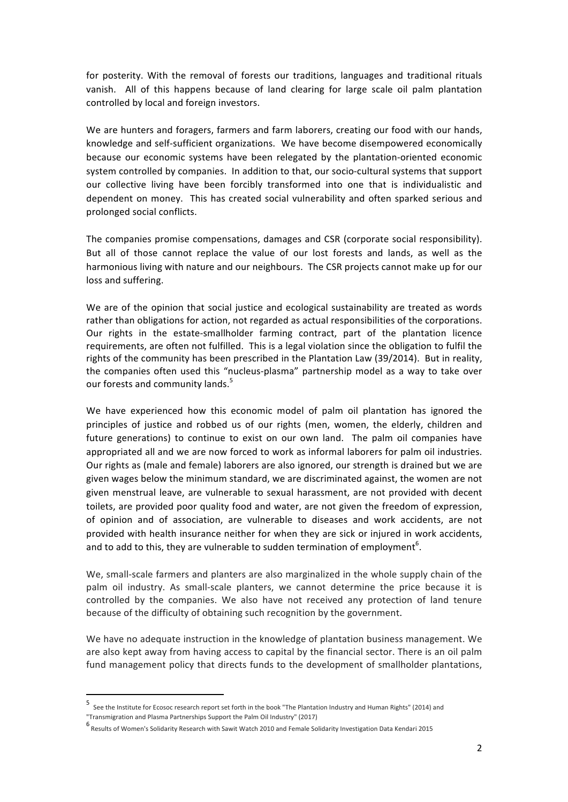for posterity. With the removal of forests our traditions, languages and traditional rituals vanish. All of this happens because of land clearing for large scale oil palm plantation controlled by local and foreign investors.

We are hunters and foragers, farmers and farm laborers, creating our food with our hands, knowledge and self-sufficient organizations. We have become disempowered economically because our economic systems have been relegated by the plantation-oriented economic system controlled by companies. In addition to that, our socio-cultural systems that support our collective living have been forcibly transformed into one that is individualistic and dependent on money. This has created social vulnerability and often sparked serious and prolonged social conflicts.

The companies promise compensations, damages and CSR (corporate social responsibility). But all of those cannot replace the value of our lost forests and lands, as well as the harmonious living with nature and our neighbours. The CSR projects cannot make up for our loss and suffering.

We are of the opinion that social justice and ecological sustainability are treated as words rather than obligations for action, not regarded as actual responsibilities of the corporations. Our rights in the estate-smallholder farming contract, part of the plantation licence requirements, are often not fulfilled. This is a legal violation since the obligation to fulfil the rights of the community has been prescribed in the Plantation Law (39/2014). But in reality, the companies often used this "nucleus-plasma" partnership model as a way to take over our forests and community lands.<sup>5</sup>

We have experienced how this economic model of palm oil plantation has ignored the principles of justice and robbed us of our rights (men, women, the elderly, children and future generations) to continue to exist on our own land. The palm oil companies have appropriated all and we are now forced to work as informal laborers for palm oil industries. Our rights as (male and female) laborers are also ignored, our strength is drained but we are given wages below the minimum standard, we are discriminated against, the women are not given menstrual leave, are vulnerable to sexual harassment, are not provided with decent toilets, are provided poor quality food and water, are not given the freedom of expression, of opinion and of association, are vulnerable to diseases and work accidents, are not provided with health insurance neither for when they are sick or injured in work accidents, and to add to this, they are vulnerable to sudden termination of employment<sup>6</sup>.

We, small-scale farmers and planters are also marginalized in the whole supply chain of the palm oil industry. As small-scale planters, we cannot determine the price because it is controlled by the companies. We also have not received any protection of land tenure because of the difficulty of obtaining such recognition by the government.

We have no adequate instruction in the knowledge of plantation business management. We are also kept away from having access to capital by the financial sector. There is an oil palm fund management policy that directs funds to the development of smallholder plantations,

<u> 1989 - Johann Stein, marwolaethau a bh</u>

<sup>5</sup> See the Institute for Ecosoc research report set forth in the book "The Plantation Industry and Human Rights" (2014) and "Transmigration and Plasma Partnerships Support the Palm Oil Industry" (2017)

<sup>6&</sup>lt;br>Results of Women's Solidarity Research with Sawit Watch 2010 and Female Solidarity Investigation Data Kendari 2015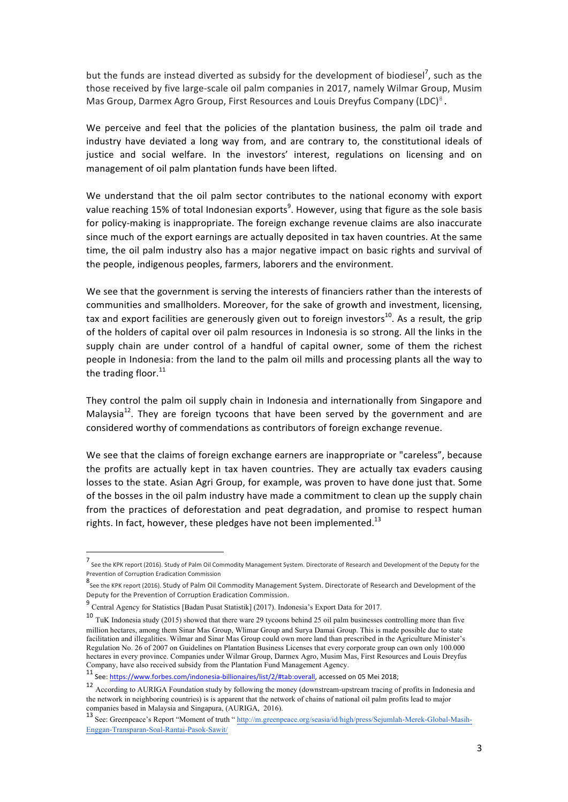but the funds are instead diverted as subsidy for the development of biodiesel<sup>7</sup>, such as the those received by five large-scale oil palm companies in 2017, namely Wilmar Group, Musim Mas Group, Darmex Agro Group, First Resources and Louis Dreyfus Company (LDC)<sup>8</sup>.

We perceive and feel that the policies of the plantation business, the palm oil trade and industry have deviated a long way from, and are contrary to, the constitutional ideals of justice and social welfare. In the investors' interest, regulations on licensing and on management of oil palm plantation funds have been lifted.

We understand that the oil palm sector contributes to the national economy with export value reaching 15% of total Indonesian exports $^9$ . However, using that figure as the sole basis for policy-making is inappropriate. The foreign exchange revenue claims are also inaccurate since much of the export earnings are actually deposited in tax haven countries. At the same time, the oil palm industry also has a major negative impact on basic rights and survival of the people, indigenous peoples, farmers, laborers and the environment.

We see that the government is serving the interests of financiers rather than the interests of communities and smallholders. Moreover, for the sake of growth and investment, licensing, tax and export facilities are generously given out to foreign investors<sup>10</sup>. As a result, the grip of the holders of capital over oil palm resources in Indonesia is so strong. All the links in the supply chain are under control of a handful of capital owner, some of them the richest people in Indonesia: from the land to the palm oil mills and processing plants all the way to the trading floor. $^{11}$ 

They control the palm oil supply chain in Indonesia and internationally from Singapore and Malaysia<sup>12</sup>. They are foreign tycoons that have been served by the government and are considered worthy of commendations as contributors of foreign exchange revenue.

We see that the claims of foreign exchange earners are inappropriate or "careless", because the profits are actually kept in tax haven countries. They are actually tax evaders causing losses to the state. Asian Agri Group, for example, was proven to have done just that. Some of the bosses in the oil palm industry have made a commitment to clean up the supply chain from the practices of deforestation and peat degradation, and promise to respect human rights. In fact, however, these pledges have not been implemented.<sup>13</sup>

<u> 1989 - Johann Stein, marwolaethau a bh</u>

<sup>7&</sup>lt;br>See the KPK report (2016). Study of Palm Oil Commodity Management System. Directorate of Research and Development of the Deputy for the Prevention of Corruption Eradication Commission

<sup>8&</sup>lt;br>See the KPK report (2016). Study of Palm Oil Commodity Management System. Directorate of Research and Development of the Deputy for the Prevention of Corruption Eradication Commission.

<sup>9</sup> Central Agency for Statistics [Badan Pusat Statistik] (2017). Indonesia's Export Data for 2017.

<sup>10</sup> TuK Indonesia study (2015) showed that there ware 29 tycoons behind 25 oil palm businesses controlling more than five million hectares, among them Sinar Mas Group, Wlimar Group and Surya Damai Group. This is made possible due to state facilitation and illegalities. Wilmar and Sinar Mas Group could own more land than prescribed in the Agriculture Minister's Regulation No. 26 of 2007 on Guidelines on Plantation Business Licenses that every corporate group can own only 100.000 hectares in every province. Companies under Wilmar Group, Darmex Agro, Musim Mas, First Resources and Louis Dreyfus Company, have also received subsidy from the Plantation Fund Management Agency.

<sup>11</sup> See: https://www.forbes.com/indonesia-billionaires/list/2/#tab:overall, accessed on 05 Mei 2018;

<sup>12</sup> According to AURIGA Foundation study by following the money (downstream-upstream tracing of profits in Indonesia and the network in neighboring countries) is is apparent that the network of chains of national oil palm profits lead to major companies based in Malaysia and Singapura, (AURIGA, 2016).

<sup>13</sup> See: Greenpeace's Report "Moment of truth " http://m.greenpeace.org/seasia/id/high/press/Sejumlah-Merek-Global-Masih-Enggan-Transparan-Soal-Rantai-Pasok-Sawit/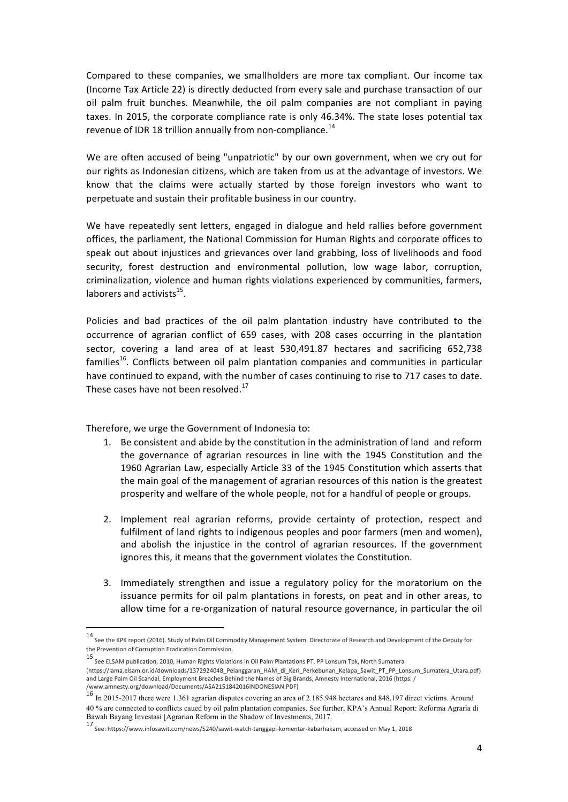Compared to these companies, we smallholders are more tax compliant. Our income tax (Income Tax Article 22) is directly deducted from every sale and purchase transaction of our oil palm fruit bunches. Meanwhile, the oil palm companies are not compliant in paying taxes. In 2015, the corporate compliance rate is only 46.34%. The state loses potential tax revenue of IDR 18 trillion annually from non-compliance.<sup>14</sup>

We are often accused of being "unpatriotic" by our own government, when we cry out for our rights as Indonesian citizens, which are taken from us at the advantage of investors. We know that the claims were actually started by those foreign investors who want to perpetuate and sustain their profitable business in our country.

We have repeatedly sent letters, engaged in dialogue and held rallies before government offices, the parliament, the National Commission for Human Rights and corporate offices to speak out about injustices and grievances over land grabbing, loss of livelihoods and food security, forest destruction and environmental pollution, low wage labor, corruption, criminalization, violence and human rights violations experienced by communities, farmers, laborers and activists $^{15}$ .

Policies and bad practices of the oil palm plantation industry have contributed to the occurrence of agrarian conflict of 659 cases, with 208 cases occurring in the plantation sector, covering a land area of at least 530,491.87 hectares and sacrificing 652,738 families<sup>16</sup>. Conflicts between oil palm plantation companies and communities in particular have continued to expand, with the number of cases continuing to rise to 717 cases to date. These cases have not been resolved. $17$ 

Therefore, we urge the Government of Indonesia to:

 

- 1. Be consistent and abide by the constitution in the administration of land and reform the governance of agrarian resources in line with the 1945 Constitution and the 1960 Agrarian Law, especially Article 33 of the 1945 Constitution which asserts that the main goal of the management of agrarian resources of this nation is the greatest prosperity and welfare of the whole people, not for a handful of people or groups.
- 2. Implement real agrarian reforms, provide certainty of protection, respect and fulfilment of land rights to indigenous peoples and poor farmers (men and women), and abolish the injustice in the control of agrarian resources. If the government ignores this, it means that the government violates the Constitution.
- 3. Immediately strengthen and issue a regulatory policy for the moratorium on the issuance permits for oil palm plantations in forests, on peat and in other areas, to allow time for a re-organization of natural resource governance, in particular the oil

<sup>14&</sup>lt;br>See the KPK report (2016). Study of Palm Oil Commodity Management System. Directorate of Research and Development of the Deputy for the Prevention of Corruption Eradication Commission.

<sup>15</sup> See ELSAM publication, 2010, Human Rights Violations in Oil Palm Plantations PT. PP Lonsum Tbk, North Sumatera (https://lama.elsam.or.id/downloads/1372924048\_Pelanggaran\_HAM\_di\_Keri\_Perkebunan\_Kelapa\_Sawit\_PT\_PP\_Lonsum\_Sumatera\_Utara.pdf) and Large Palm Oil Scandal, Employment Breaches Behind the Names of Big Brands, Amnesty International, 2016 (https: / /www.amnesty.org/download/Documents/ASA2151842016INDONESIAN.PDF) 

<sup>16</sup> In 2015-2017 there were 1.361 agrarian disputes covering an area of 2.185.948 hectares and 848.197 direct victims. Around 40 % are connected to conflicts caued by oil palm plantation companies. See further, KPA's Annual Report: Reforma Agraria di Bawah Bayang Investasi [Agrarian Reform in the Shadow of Investments, 2017.

<sup>17&</sup>lt;br>See: https://www.infosawit.com/news/5240/sawit-watch-tanggapi-komentar-kabarhakam, accessed on May 1, 2018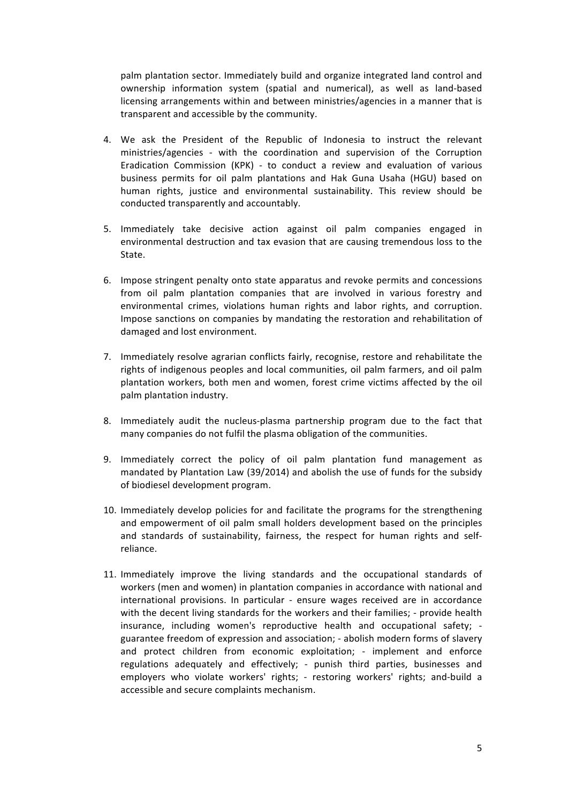palm plantation sector. Immediately build and organize integrated land control and ownership information system (spatial and numerical), as well as land-based licensing arrangements within and between ministries/agencies in a manner that is transparent and accessible by the community.

- 4. We ask the President of the Republic of Indonesia to instruct the relevant ministries/agencies - with the coordination and supervision of the Corruption Eradication Commission (KPK) - to conduct a review and evaluation of various business permits for oil palm plantations and Hak Guna Usaha (HGU) based on human rights, justice and environmental sustainability. This review should be conducted transparently and accountably.
- 5. Immediately take decisive action against oil palm companies engaged in environmental destruction and tax evasion that are causing tremendous loss to the State.
- 6. Impose stringent penalty onto state apparatus and revoke permits and concessions from oil palm plantation companies that are involved in various forestry and environmental crimes, violations human rights and labor rights, and corruption. Impose sanctions on companies by mandating the restoration and rehabilitation of damaged and lost environment.
- 7. Immediately resolve agrarian conflicts fairly, recognise, restore and rehabilitate the rights of indigenous peoples and local communities, oil palm farmers, and oil palm plantation workers, both men and women, forest crime victims affected by the oil palm plantation industry.
- 8. Immediately audit the nucleus-plasma partnership program due to the fact that many companies do not fulfil the plasma obligation of the communities.
- 9. Immediately correct the policy of oil palm plantation fund management as mandated by Plantation Law  $(39/2014)$  and abolish the use of funds for the subsidy of biodiesel development program.
- 10. Immediately develop policies for and facilitate the programs for the strengthening and empowerment of oil palm small holders development based on the principles and standards of sustainability, fairness, the respect for human rights and selfreliance.
- 11. Immediately improve the living standards and the occupational standards of workers (men and women) in plantation companies in accordance with national and international provisions. In particular - ensure wages received are in accordance with the decent living standards for the workers and their families; - provide health insurance, including women's reproductive health and occupational safety; guarantee freedom of expression and association; - abolish modern forms of slavery and protect children from economic exploitation; - implement and enforce regulations adequately and effectively; - punish third parties, businesses and employers who violate workers' rights; - restoring workers' rights; and-build a accessible and secure complaints mechanism.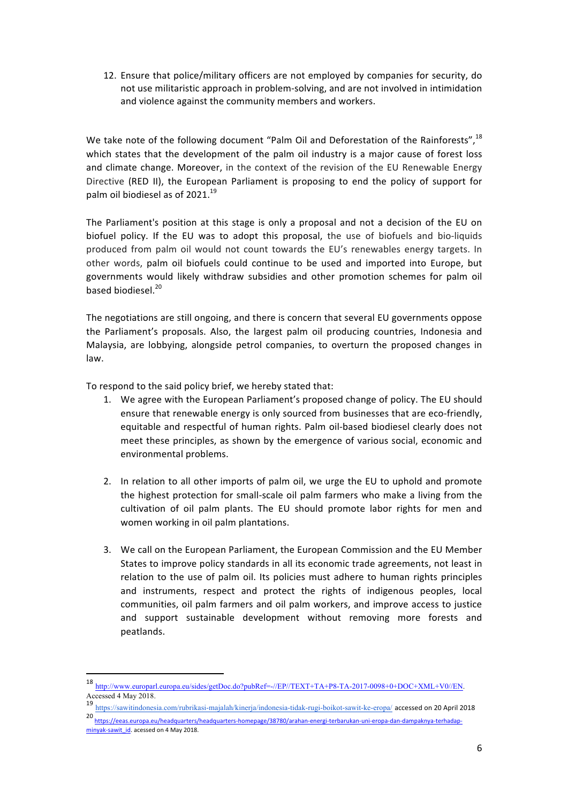12. Ensure that police/military officers are not employed by companies for security, do not use militaristic approach in problem-solving, and are not involved in intimidation and violence against the community members and workers.

We take note of the following document "Palm Oil and Deforestation of the Rainforests",  $^{18}$ which states that the development of the palm oil industry is a major cause of forest loss and climate change. Moreover, in the context of the revision of the EU Renewable Energy Directive (RED II), the European Parliament is proposing to end the policy of support for palm oil biodiesel as of  $2021.<sup>19</sup>$ 

The Parliament's position at this stage is only a proposal and not a decision of the EU on biofuel policy. If the EU was to adopt this proposal, the use of biofuels and bio-liquids produced from palm oil would not count towards the EU's renewables energy targets. In other words, palm oil biofuels could continue to be used and imported into Europe, but governments would likely withdraw subsidies and other promotion schemes for palm oil based biodiesel.<sup>20</sup>

The negotiations are still ongoing, and there is concern that several EU governments oppose the Parliament's proposals. Also, the largest palm oil producing countries, Indonesia and Malaysia, are lobbying, alongside petrol companies, to overturn the proposed changes in law. 

To respond to the said policy brief, we hereby stated that:

<u> 1989 - Johann Stein, marwolaethau a bh</u>

- 1. We agree with the European Parliament's proposed change of policy. The EU should ensure that renewable energy is only sourced from businesses that are eco-friendly, equitable and respectful of human rights. Palm oil-based biodiesel clearly does not meet these principles, as shown by the emergence of various social, economic and environmental problems.
- 2. In relation to all other imports of palm oil, we urge the EU to uphold and promote the highest protection for small-scale oil palm farmers who make a living from the cultivation of oil palm plants. The EU should promote labor rights for men and women working in oil palm plantations.
- 3. We call on the European Parliament, the European Commission and the EU Member States to improve policy standards in all its economic trade agreements, not least in relation to the use of palm oil. Its policies must adhere to human rights principles and instruments, respect and protect the rights of indigenous peoples, local communities, oil palm farmers and oil palm workers, and improve access to justice and support sustainable development without removing more forests and peatlands.

19 https://sawitindonesia.com/rubrikasi-majalah/kinerja/indonesia-tidak-rugi-boikot-sawit-ke-eropa/ accessed on 20 April 2018

<sup>18</sup> http://www.europarl.europa.eu/sides/getDoc.do?pubRef=-//EP//TEXT+TA+P8-TA-2017-0098+0+DOC+XML+V0//EN. Accessed 4 May 2018.

<sup>20</sup> https://eeas.europa.eu/headquarters/headquarters-homepage/38780/arahan-energi-terbarukan-uni-eropa-dan-dampaknya-terhadapminyak-sawit\_id. acessed on 4 May 2018.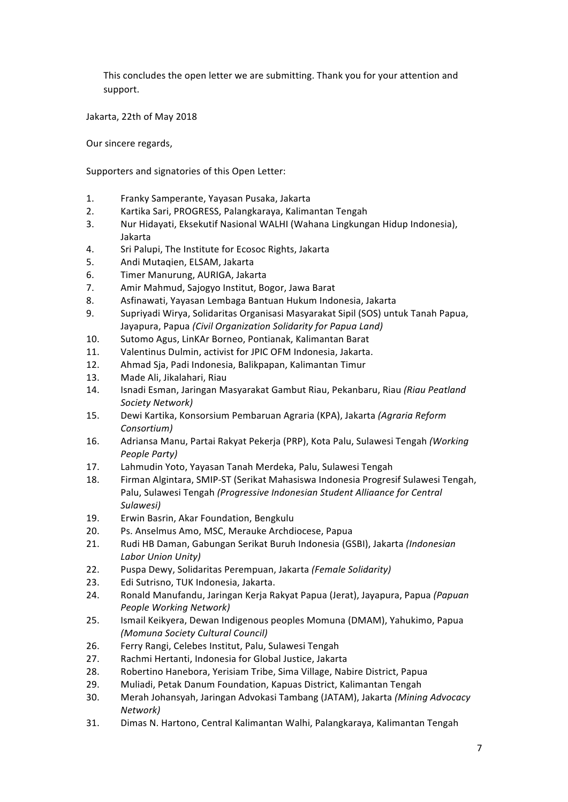This concludes the open letter we are submitting. Thank you for your attention and support.

Jakarta, 22th of May 2018

Our sincere regards,

Supporters and signatories of this Open Letter:

- 1. Franky Samperante, Yayasan Pusaka, Jakarta
- 2. Kartika Sari, PROGRESS, Palangkaraya, Kalimantan Tengah
- 3. Nur Hidayati, Eksekutif Nasional WALHI (Wahana Lingkungan Hidup Indonesia), Jakarta
- 4. Sri Palupi, The Institute for Ecosoc Rights, Jakarta
- 5. Andi Mutaqien, ELSAM, Jakarta
- 6. Timer Manurung, AURIGA, Jakarta
- 7. Amir Mahmud, Sajogyo Institut, Bogor, Jawa Barat
- 8. Asfinawati, Yayasan Lembaga Bantuan Hukum Indonesia, Jakarta
- 9. Supriyadi Wirya, Solidaritas Organisasi Masyarakat Sipil (SOS) untuk Tanah Papua, Jayapura, Papua *(Civil Organization Solidarity for Papua Land)*
- 10. Sutomo Agus, LinKAr Borneo, Pontianak, Kalimantan Barat
- 11. Valentinus Dulmin, activist for JPIC OFM Indonesia, Jakarta.
- 12. Ahmad Sja, Padi Indonesia, Balikpapan, Kalimantan Timur
- 13. Made Ali, Jikalahari, Riau
- 14. Isnadi Esman, Jaringan Masyarakat Gambut Riau, Pekanbaru, Riau (Riau Peatland *Society Network)*
- 15. Dewi Kartika, Konsorsium Pembaruan Agraria (KPA), Jakarta *(Agraria Reform Consortium)*
- 16. Adriansa Manu, Partai Rakyat Pekerja (PRP), Kota Palu, Sulawesi Tengah *(Working People Party)*
- 17. Lahmudin Yoto, Yayasan Tanah Merdeka, Palu, Sulawesi Tengah
- 18. Firman Algintara, SMIP-ST (Serikat Mahasiswa Indonesia Progresif Sulawesi Tengah, Palu, Sulawesi Tengah (Progressive Indonesian Student Alliaance for Central *Sulawesi)*
- 19. Erwin Basrin, Akar Foundation, Bengkulu
- 20. Ps. Anselmus Amo, MSC, Merauke Archdiocese, Papua
- 21. Rudi HB Daman, Gabungan Serikat Buruh Indonesia (GSBI), Jakarta *(Indonesian Labor Union Unity)*
- 22. Puspa Dewy, Solidaritas Perempuan, Jakarta *(Female Solidarity)*
- 23. Edi Sutrisno, TUK Indonesia, Jakarta.
- 24. Ronald Manufandu, Jaringan Kerja Rakyat Papua (Jerat), Jayapura, Papua (Papuan *People Working Network)*
- 25. Ismail Keikyera, Dewan Indigenous peoples Momuna (DMAM), Yahukimo, Papua *(Momuna Society Cultural Council)*
- 26. Ferry Rangi, Celebes Institut, Palu, Sulawesi Tengah
- 27. Rachmi Hertanti, Indonesia for Global Justice, Jakarta
- 28. Robertino Hanebora, Yerisiam Tribe, Sima Village, Nabire District, Papua
- 29. Muliadi, Petak Danum Foundation, Kapuas District, Kalimantan Tengah
- 30. Merah Johansyah, Jaringan Advokasi Tambang (JATAM), Jakarta *(Mining Advocacy Network)*
- 31. Dimas N. Hartono, Central Kalimantan Walhi, Palangkaraya, Kalimantan Tengah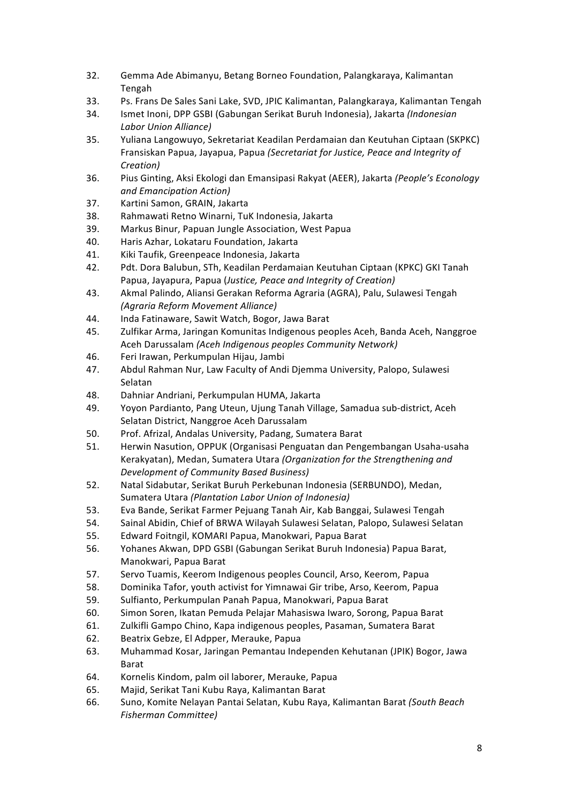- 32. Gemma Ade Abimanyu, Betang Borneo Foundation, Palangkaraya, Kalimantan Tengah
- 33. Ps. Frans De Sales Sani Lake, SVD, JPIC Kalimantan, Palangkaraya, Kalimantan Tengah
- 34. Ismet Inoni, DPP GSBI (Gabungan Serikat Buruh Indonesia), Jakarta *(Indonesian Labor Union Alliance)*
- 35. Yuliana Langowuyo, Sekretariat Keadilan Perdamaian dan Keutuhan Ciptaan (SKPKC) Fransiskan Papua, Jayapua, Papua *(Secretariat for Justice, Peace and Integrity of Creation)*
- 36. Pius Ginting, Aksi Ekologi dan Emansipasi Rakyat (AEER), Jakarta (People's Econology *and Emancipation Action)*
- 37. Kartini Samon, GRAIN, Jakarta
- 38. Rahmawati Retno Winarni, TuK Indonesia, Jakarta
- 39. Markus Binur, Papuan Jungle Association, West Papua
- 40. Haris Azhar, Lokataru Foundation, Jakarta
- 41. Kiki Taufik, Greenpeace Indonesia, Jakarta
- 42. Pdt. Dora Balubun, STh, Keadilan Perdamaian Keutuhan Ciptaan (KPKC) GKI Tanah Papua, Jayapura, Papua (*Justice, Peace and Integrity of Creation*)
- 43. Akmal Palindo, Aliansi Gerakan Reforma Agraria (AGRA), Palu, Sulawesi Tengah *(Agraria Reform Movement Alliance)*
- 44. Inda Fatinaware, Sawit Watch, Bogor, Jawa Barat
- 45. Zulfikar Arma, Jaringan Komunitas Indigenous peoples Aceh, Banda Aceh, Nanggroe Aceh Darussalam *(Aceh Indigenous peoples Community Network)*
- 46. Feri Irawan, Perkumpulan Hijau, Jambi
- 47. Abdul Rahman Nur, Law Faculty of Andi Djemma University, Palopo, Sulawesi Selatan
- 48. Dahniar Andriani, Perkumpulan HUMA, Jakarta
- 49. Yoyon Pardianto, Pang Uteun, Ujung Tanah Village, Samadua sub-district, Aceh Selatan District, Nanggroe Aceh Darussalam
- 50. Prof. Afrizal, Andalas University, Padang, Sumatera Barat
- 51. Herwin Nasution, OPPUK (Organisasi Penguatan dan Pengembangan Usaha-usaha Kerakyatan), Medan, Sumatera Utara *(Organization for the Strengthening and Development of Community Based Business)*
- 52. Natal Sidabutar, Serikat Buruh Perkebunan Indonesia (SERBUNDO), Medan, Sumatera Utara (Plantation Labor Union of Indonesia)
- 53. Eva Bande, Serikat Farmer Pejuang Tanah Air, Kab Banggai, Sulawesi Tengah
- 54. Sainal Abidin, Chief of BRWA Wilayah Sulawesi Selatan, Palopo, Sulawesi Selatan
- 55. Edward Foitngil, KOMARI Papua, Manokwari, Papua Barat
- 56. Yohanes Akwan, DPD GSBI (Gabungan Serikat Buruh Indonesia) Papua Barat, Manokwari, Papua Barat
- 57. Servo Tuamis, Keerom Indigenous peoples Council, Arso, Keerom, Papua
- 58. Dominika Tafor, youth activist for Yimnawai Gir tribe, Arso, Keerom, Papua
- 59. Sulfianto, Perkumpulan Panah Papua, Manokwari, Papua Barat
- 60. Simon Soren, Ikatan Pemuda Pelajar Mahasiswa Iwaro, Sorong, Papua Barat
- 61. Zulkifli Gampo Chino, Kapa indigenous peoples, Pasaman, Sumatera Barat
- 62. Beatrix Gebze, El Adpper, Merauke, Papua
- 63. Muhammad Kosar, Jaringan Pemantau Independen Kehutanan (JPIK) Bogor, Jawa Barat
- 64. Kornelis Kindom, palm oil laborer, Merauke, Papua
- 65. Majid, Serikat Tani Kubu Raya, Kalimantan Barat
- 66. Suno, Komite Nelayan Pantai Selatan, Kubu Raya, Kalimantan Barat (South Beach *Fisherman Committee)*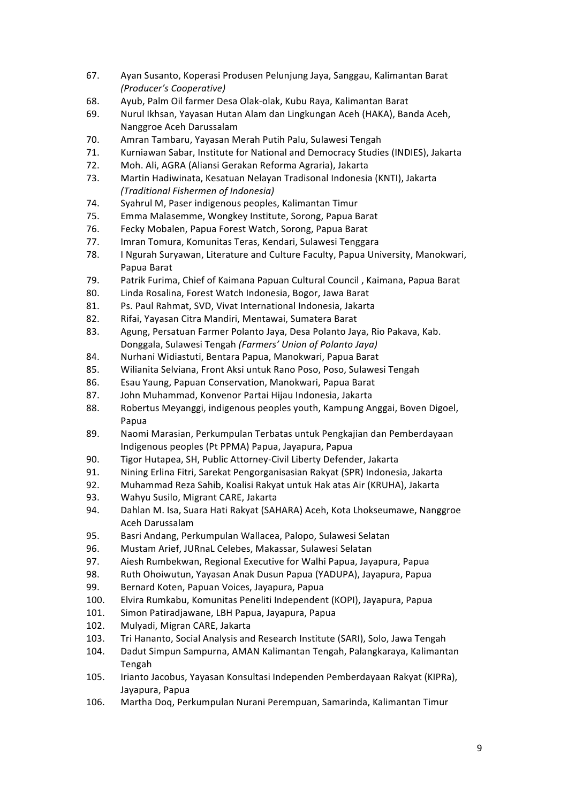- 67. Ayan Susanto, Koperasi Produsen Pelunjung Jaya, Sanggau, Kalimantan Barat *(Producer's Cooperative)*
- 68. Ayub, Palm Oil farmer Desa Olak-olak, Kubu Raya, Kalimantan Barat
- 69. Nurul Ikhsan, Yayasan Hutan Alam dan Lingkungan Aceh (HAKA), Banda Aceh, Nanggroe Aceh Darussalam
- 70. Amran Tambaru, Yayasan Merah Putih Palu, Sulawesi Tengah
- 71. Kurniawan Sabar, Institute for National and Democracy Studies (INDIES), Jakarta
- 72. Moh. Ali, AGRA (Aliansi Gerakan Reforma Agraria), Jakarta
- 73. Martin Hadiwinata, Kesatuan Nelayan Tradisonal Indonesia (KNTI), Jakarta *(Traditional Fishermen of Indonesia)*
- 74. Syahrul M, Paser indigenous peoples, Kalimantan Timur
- 75. Emma Malasemme, Wongkey Institute, Sorong, Papua Barat
- 76. Fecky Mobalen, Papua Forest Watch, Sorong, Papua Barat
- 77. Imran Tomura, Komunitas Teras, Kendari, Sulawesi Tenggara
- 78. I Ngurah Suryawan, Literature and Culture Faculty, Papua University, Manokwari, Papua Barat
- 79. Patrik Furima, Chief of Kaimana Papuan Cultural Council, Kaimana, Papua Barat
- 80. Linda Rosalina, Forest Watch Indonesia, Bogor, Jawa Barat
- 81. Ps. Paul Rahmat, SVD, Vivat International Indonesia, Jakarta
- 82. Rifai, Yayasan Citra Mandiri, Mentawai, Sumatera Barat
- 83. Agung, Persatuan Farmer Polanto Jaya, Desa Polanto Jaya, Rio Pakava, Kab. Donggala, Sulawesi Tengah *(Farmers' Union of Polanto Jaya)*
- 84. Nurhani Widiastuti, Bentara Papua, Manokwari, Papua Barat
- 85. Wilianita Selviana, Front Aksi untuk Rano Poso, Poso, Sulawesi Tengah
- 86. Esau Yaung, Papuan Conservation, Manokwari, Papua Barat
- 87. John Muhammad, Konvenor Partai Hijau Indonesia, Jakarta
- 88. Robertus Meyanggi, indigenous peoples youth, Kampung Anggai, Boven Digoel, Papua
- 89. Naomi Marasian, Perkumpulan Terbatas untuk Pengkajian dan Pemberdayaan Indigenous peoples (Pt PPMA) Papua, Jayapura, Papua
- 90. Tigor Hutapea, SH, Public Attorney-Civil Liberty Defender, Jakarta
- 91. Nining Erlina Fitri, Sarekat Pengorganisasian Rakyat (SPR) Indonesia, Jakarta
- 92. Muhammad Reza Sahib, Koalisi Rakyat untuk Hak atas Air (KRUHA), Jakarta
- 93. Wahyu Susilo, Migrant CARE, Jakarta
- 94. Dahlan M. Isa, Suara Hati Rakyat (SAHARA) Aceh, Kota Lhokseumawe, Nanggroe Aceh Darussalam
- 95. Basri Andang, Perkumpulan Wallacea, Palopo, Sulawesi Selatan
- 96. Mustam Arief, JURnaL Celebes, Makassar, Sulawesi Selatan
- 97. Aiesh Rumbekwan, Regional Executive for Walhi Papua, Jayapura, Papua
- 98. Ruth Ohoiwutun, Yayasan Anak Dusun Papua (YADUPA), Jayapura, Papua
- 99. Bernard Koten, Papuan Voices, Jayapura, Papua
- 100. Elvira Rumkabu, Komunitas Peneliti Independent (KOPI), Jayapura, Papua
- 101. Simon Patiradjawane, LBH Papua, Jayapura, Papua
- 102. Mulyadi, Migran CARE, Jakarta
- 103. Tri Hananto, Social Analysis and Research Institute (SARI), Solo, Jawa Tengah
- 104. Dadut Simpun Sampurna, AMAN Kalimantan Tengah, Palangkaraya, Kalimantan Tengah
- 105. Irianto Jacobus, Yayasan Konsultasi Independen Pemberdayaan Rakyat (KIPRa), Jayapura, Papua
- 106. Martha Doq, Perkumpulan Nurani Perempuan, Samarinda, Kalimantan Timur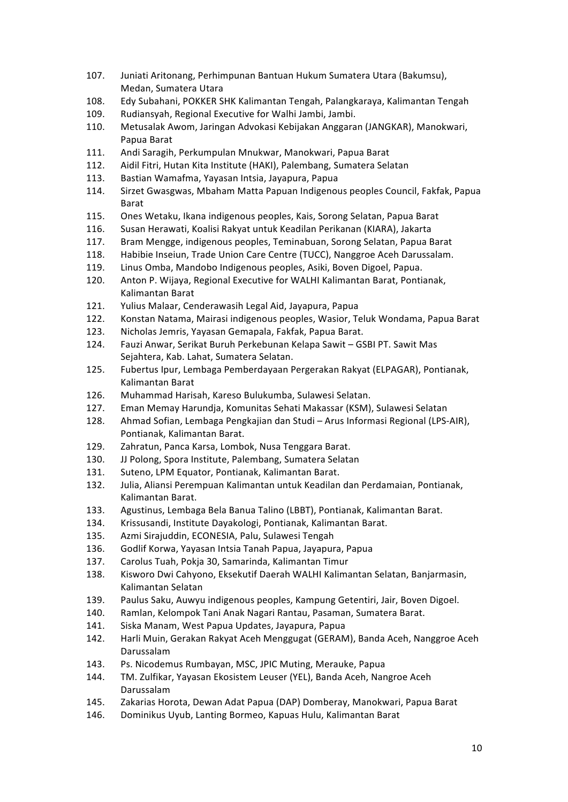- 107. Juniati Aritonang, Perhimpunan Bantuan Hukum Sumatera Utara (Bakumsu), Medan, Sumatera Utara
- 108. Edy Subahani, POKKER SHK Kalimantan Tengah, Palangkaraya, Kalimantan Tengah
- 109. Rudiansyah, Regional Executive for Walhi Jambi, Jambi.
- 110. Metusalak Awom, Jaringan Advokasi Kebijakan Anggaran (JANGKAR), Manokwari, Papua Barat
- 111. Andi Saragih, Perkumpulan Mnukwar, Manokwari, Papua Barat
- 112. Aidil Fitri, Hutan Kita Institute (HAKI), Palembang, Sumatera Selatan
- 113. Bastian Wamafma, Yayasan Intsia, Jayapura, Papua
- 114. Sirzet Gwasgwas, Mbaham Matta Papuan Indigenous peoples Council, Fakfak, Papua Barat
- 115. Ones Wetaku, Ikana indigenous peoples, Kais, Sorong Selatan, Papua Barat
- 116. Susan Herawati, Koalisi Rakyat untuk Keadilan Perikanan (KIARA), Jakarta
- 117. Bram Mengge, indigenous peoples, Teminabuan, Sorong Selatan, Papua Barat
- 118. Habibie Inseiun, Trade Union Care Centre (TUCC), Nanggroe Aceh Darussalam.
- 119. Linus Omba, Mandobo Indigenous peoples, Asiki, Boven Digoel, Papua.
- 120. Anton P. Wijaya, Regional Executive for WALHI Kalimantan Barat, Pontianak, Kalimantan Barat
- 121. Yulius Malaar, Cenderawasih Legal Aid, Jayapura, Papua
- 122. Konstan Natama, Mairasi indigenous peoples, Wasior, Teluk Wondama, Papua Barat
- 123. Nicholas Jemris, Yayasan Gemapala, Fakfak, Papua Barat.
- 124. Fauzi Anwar, Serikat Buruh Perkebunan Kelapa Sawit GSBI PT. Sawit Mas Sejahtera, Kab. Lahat, Sumatera Selatan.
- 125. Fubertus Ipur, Lembaga Pemberdayaan Pergerakan Rakyat (ELPAGAR), Pontianak, Kalimantan Barat
- 126. Muhammad Harisah, Kareso Bulukumba, Sulawesi Selatan.
- 127. Eman Memay Harundja, Komunitas Sehati Makassar (KSM), Sulawesi Selatan
- 128. Ahmad Sofian, Lembaga Pengkajian dan Studi Arus Informasi Regional (LPS-AIR), Pontianak, Kalimantan Barat.
- 129. Zahratun, Panca Karsa, Lombok, Nusa Tenggara Barat.
- 130. JJ Polong, Spora Institute, Palembang, Sumatera Selatan
- 131. Suteno, LPM Equator, Pontianak, Kalimantan Barat.
- 132. Julia, Aliansi Perempuan Kalimantan untuk Keadilan dan Perdamaian, Pontianak, Kalimantan Barat.
- 133. Agustinus, Lembaga Bela Banua Talino (LBBT), Pontianak, Kalimantan Barat.
- 134. Krissusandi, Institute Dayakologi, Pontianak, Kalimantan Barat.
- 135. Azmi Sirajuddin, ECONESIA, Palu, Sulawesi Tengah
- 136. Godlif Korwa, Yayasan Intsia Tanah Papua, Jayapura, Papua
- 137. Carolus Tuah, Pokia 30, Samarinda, Kalimantan Timur
- 138. Kisworo Dwi Cahyono, Eksekutif Daerah WALHI Kalimantan Selatan, Banjarmasin, Kalimantan Selatan
- 139. Paulus Saku, Auwyu indigenous peoples, Kampung Getentiri, Jair, Boven Digoel.
- 140. Ramlan, Kelompok Tani Anak Nagari Rantau, Pasaman, Sumatera Barat.
- 141. Siska Manam, West Papua Updates, Jayapura, Papua
- 142. Harli Muin, Gerakan Rakyat Aceh Menggugat (GERAM), Banda Aceh, Nanggroe Aceh Darussalam
- 143. Ps. Nicodemus Rumbayan, MSC, JPIC Muting, Merauke, Papua
- 144. TM. Zulfikar, Yayasan Ekosistem Leuser (YEL), Banda Aceh, Nangroe Aceh Darussalam
- 145. Zakarias Horota, Dewan Adat Papua (DAP) Domberay, Manokwari, Papua Barat
- 146. Dominikus Uyub, Lanting Bormeo, Kapuas Hulu, Kalimantan Barat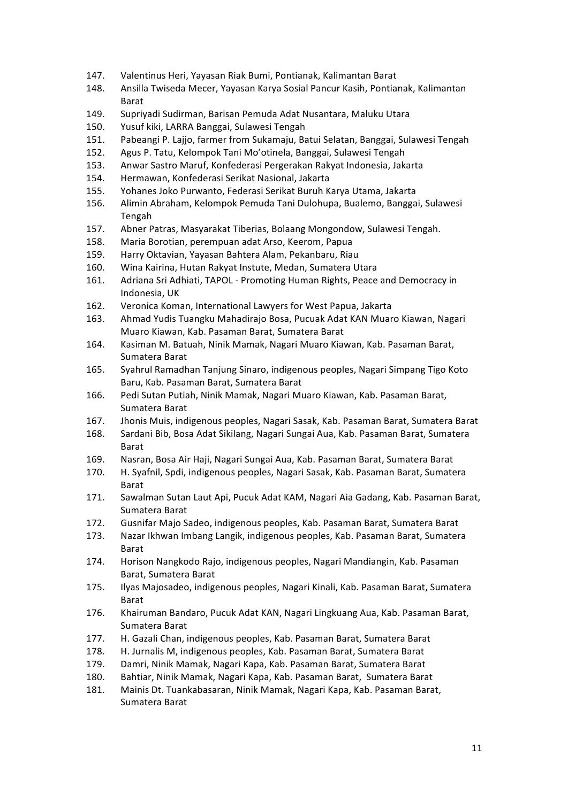- 147. Valentinus Heri, Yayasan Riak Bumi, Pontianak, Kalimantan Barat
- 148. Ansilla Twiseda Mecer, Yayasan Karya Sosial Pancur Kasih, Pontianak, Kalimantan Barat
- 149. Supriyadi Sudirman, Barisan Pemuda Adat Nusantara, Maluku Utara
- 150. Yusuf kiki, LARRA Banggai, Sulawesi Tengah
- 151. Pabeangi P. Lajjo, farmer from Sukamaju, Batui Selatan, Banggai, Sulawesi Tengah
- 152. Agus P. Tatu, Kelompok Tani Mo'otinela, Banggai, Sulawesi Tengah
- 153. Anwar Sastro Maruf, Konfederasi Pergerakan Rakyat Indonesia, Jakarta
- 154. Hermawan, Konfederasi Serikat Nasional, Jakarta
- 155. Yohanes Joko Purwanto, Federasi Serikat Buruh Karya Utama, Jakarta
- 156. Alimin Abraham, Kelompok Pemuda Tani Dulohupa, Bualemo, Banggai, Sulawesi Tengah
- 157. Abner Patras, Masyarakat Tiberias, Bolaang Mongondow, Sulawesi Tengah.
- 158. Maria Borotian, perempuan adat Arso, Keerom, Papua
- 159. Harry Oktavian, Yayasan Bahtera Alam, Pekanbaru, Riau
- 160. Wina Kairina, Hutan Rakyat Instute, Medan, Sumatera Utara
- 161. Adriana Sri Adhiati, TAPOL Promoting Human Rights, Peace and Democracy in Indonesia, UK
- 162. Veronica Koman, International Lawyers for West Papua, Jakarta
- 163. Ahmad Yudis Tuangku Mahadirajo Bosa, Pucuak Adat KAN Muaro Kiawan, Nagari Muaro Kiawan, Kab. Pasaman Barat, Sumatera Barat
- 164. Kasiman M. Batuah, Ninik Mamak, Nagari Muaro Kiawan, Kab. Pasaman Barat, Sumatera Barat
- 165. Syahrul Ramadhan Tanjung Sinaro, indigenous peoples, Nagari Simpang Tigo Koto Baru, Kab. Pasaman Barat, Sumatera Barat
- 166. Pedi Sutan Putiah, Ninik Mamak, Nagari Muaro Kiawan, Kab. Pasaman Barat, Sumatera Barat
- 167. Jhonis Muis, indigenous peoples, Nagari Sasak, Kab. Pasaman Barat, Sumatera Barat
- 168. Sardani Bib, Bosa Adat Sikilang, Nagari Sungai Aua, Kab. Pasaman Barat, Sumatera Barat
- 169. Nasran, Bosa Air Haji, Nagari Sungai Aua, Kab. Pasaman Barat, Sumatera Barat
- 170. H. Syafnil, Spdi, indigenous peoples, Nagari Sasak, Kab. Pasaman Barat, Sumatera Barat
- 171. Sawalman Sutan Laut Api, Pucuk Adat KAM, Nagari Aia Gadang, Kab. Pasaman Barat, Sumatera Barat
- 172. Gusnifar Majo Sadeo, indigenous peoples, Kab. Pasaman Barat, Sumatera Barat
- 173. Nazar Ikhwan Imbang Langik, indigenous peoples, Kab. Pasaman Barat, Sumatera Barat
- 174. Horison Nangkodo Rajo, indigenous peoples, Nagari Mandiangin, Kab. Pasaman Barat, Sumatera Barat
- 175. Ilyas Majosadeo, indigenous peoples, Nagari Kinali, Kab. Pasaman Barat, Sumatera Barat
- 176. Khairuman Bandaro, Pucuk Adat KAN, Nagari Lingkuang Aua, Kab. Pasaman Barat, Sumatera Barat
- 177. H. Gazali Chan, indigenous peoples, Kab. Pasaman Barat, Sumatera Barat
- 178. H. Jurnalis M, indigenous peoples, Kab. Pasaman Barat, Sumatera Barat
- 179. Damri, Ninik Mamak, Nagari Kapa, Kab. Pasaman Barat, Sumatera Barat
- 180. Bahtiar, Ninik Mamak, Nagari Kapa, Kab. Pasaman Barat, Sumatera Barat
- 181. Mainis Dt. Tuankabasaran, Ninik Mamak, Nagari Kapa, Kab. Pasaman Barat, Sumatera Barat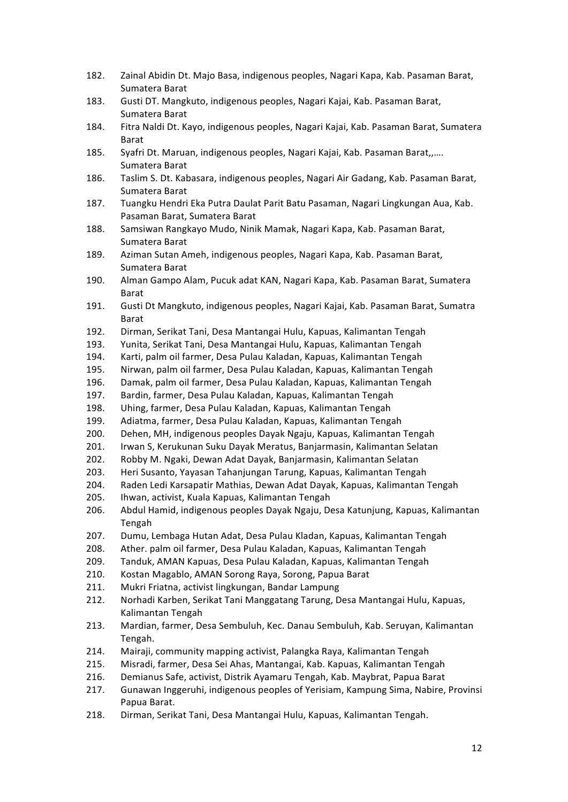- 182. Zainal Abidin Dt. Majo Basa, indigenous peoples, Nagari Kapa, Kab. Pasaman Barat, Sumatera Barat
- 183. Gusti DT. Mangkuto, indigenous peoples, Nagari Kajai, Kab. Pasaman Barat, Sumatera Barat
- 184. Fitra Naldi Dt. Kayo, indigenous peoples, Nagari Kajai, Kab. Pasaman Barat, Sumatera Barat
- 185. Syafri Dt. Maruan, indigenous peoples, Nagari Kajai, Kab. Pasaman Barat,,.... Sumatera Barat
- 186. Taslim S. Dt. Kabasara, indigenous peoples, Nagari Air Gadang, Kab. Pasaman Barat, Sumatera Barat
- 187. Tuangku Hendri Eka Putra Daulat Parit Batu Pasaman, Nagari Lingkungan Aua, Kab. Pasaman Barat, Sumatera Barat
- 188. Samsiwan Rangkayo Mudo, Ninik Mamak, Nagari Kapa, Kab. Pasaman Barat, Sumatera Barat
- 189. Aziman Sutan Ameh, indigenous peoples, Nagari Kapa, Kab. Pasaman Barat, Sumatera Barat
- 190. Alman Gampo Alam, Pucuk adat KAN, Nagari Kapa, Kab. Pasaman Barat, Sumatera Barat
- 191. Gusti Dt Mangkuto, indigenous peoples, Nagari Kajai, Kab. Pasaman Barat, Sumatra Barat
- 192. Dirman, Serikat Tani, Desa Mantangai Hulu, Kapuas, Kalimantan Tengah
- 193. Yunita, Serikat Tani, Desa Mantangai Hulu, Kapuas, Kalimantan Tengah
- 194. Karti, palm oil farmer, Desa Pulau Kaladan, Kapuas, Kalimantan Tengah
- 195. Nirwan, palm oil farmer, Desa Pulau Kaladan, Kapuas, Kalimantan Tengah
- 196. Damak, palm oil farmer, Desa Pulau Kaladan, Kapuas, Kalimantan Tengah
- 197. Bardin, farmer, Desa Pulau Kaladan, Kapuas, Kalimantan Tengah
- 198. Uhing, farmer, Desa Pulau Kaladan, Kapuas, Kalimantan Tengah
- 199. Adiatma, farmer, Desa Pulau Kaladan, Kapuas, Kalimantan Tengah
- 200. Dehen, MH, indigenous peoples Dayak Ngaju, Kapuas, Kalimantan Tengah
- 201. Irwan S, Kerukunan Suku Dayak Meratus, Banjarmasin, Kalimantan Selatan
- 202. Robby M. Ngaki, Dewan Adat Dayak, Banjarmasin, Kalimantan Selatan
- 203. Heri Susanto, Yayasan Tahanjungan Tarung, Kapuas, Kalimantan Tengah
- 204. Raden Ledi Karsapatir Mathias, Dewan Adat Dayak, Kapuas, Kalimantan Tengah
- 205. Ihwan, activist, Kuala Kapuas, Kalimantan Tengah
- 206. Abdul Hamid, indigenous peoples Dayak Ngaju, Desa Katunjung, Kapuas, Kalimantan Tengah
- 207. Dumu, Lembaga Hutan Adat, Desa Pulau Kladan, Kapuas, Kalimantan Tengah
- 208. Ather. palm oil farmer, Desa Pulau Kaladan, Kapuas, Kalimantan Tengah
- 209. Tanduk, AMAN Kapuas, Desa Pulau Kaladan, Kapuas, Kalimantan Tengah
- 210. Kostan Magablo, AMAN Sorong Raya, Sorong, Papua Barat
- 211. Mukri Friatna, activist lingkungan, Bandar Lampung
- 212. Norhadi Karben, Serikat Tani Manggatang Tarung, Desa Mantangai Hulu, Kapuas, Kalimantan Tengah
- 213. Mardian, farmer, Desa Sembuluh, Kec. Danau Sembuluh, Kab. Seruyan, Kalimantan Tengah.
- 214. Mairaji, community mapping activist, Palangka Raya, Kalimantan Tengah
- 215. Misradi, farmer, Desa Sei Ahas, Mantangai, Kab. Kapuas, Kalimantan Tengah
- 216. Demianus Safe, activist, Distrik Ayamaru Tengah, Kab. Maybrat, Papua Barat
- 217. Gunawan Inggeruhi, indigenous peoples of Yerisiam, Kampung Sima, Nabire, Provinsi Papua Barat.
- 218. Dirman, Serikat Tani, Desa Mantangai Hulu, Kapuas, Kalimantan Tengah.